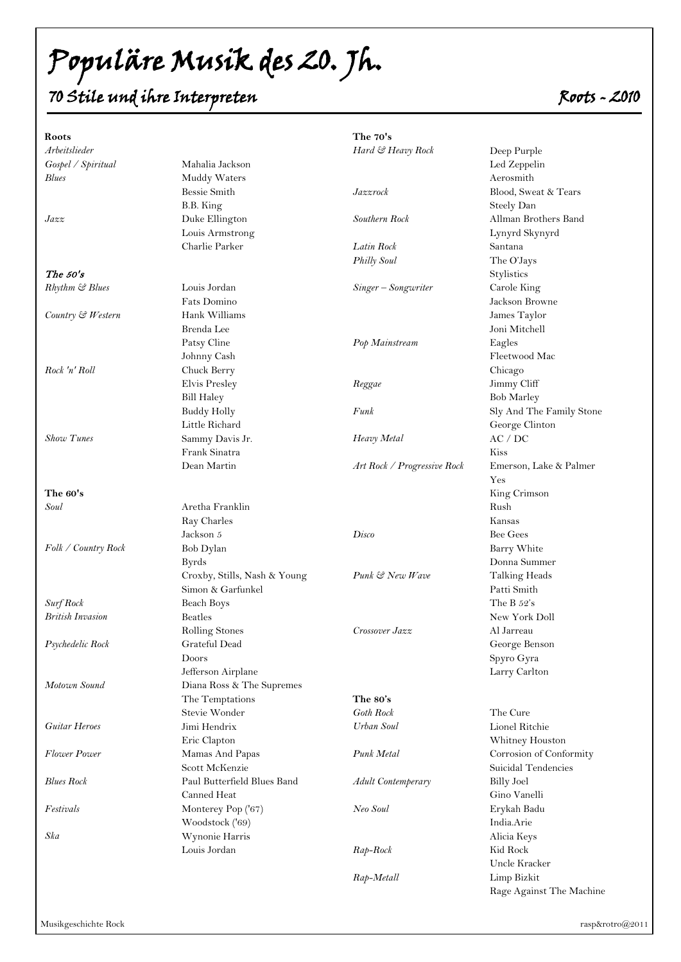Populäre Musik des 20. Jh.

### 70 Stile und ihre Interpreten  $\zeta$

| Roots                   |                              | The 70's                    |                          |
|-------------------------|------------------------------|-----------------------------|--------------------------|
| Arbeitslieder           |                              | Hard & Heavy Rock           | Deep Purple              |
| Gospel / Spiritual      | Mahalia Jackson              |                             | Led Zeppelin             |
| <b>Blues</b>            | Muddy Waters                 |                             | Aerosmith                |
|                         | Bessie Smith                 | Jazzrock                    | Blood, Sweat & Tears     |
|                         | B.B. King                    |                             | Steely Dan               |
| Jazz                    | Duke Ellington               | Southern Rock               | Allman Brothers Band     |
|                         | Louis Armstrong              |                             | Lynyrd Skynyrd           |
|                         | Charlie Parker               | Latin Rock                  | Santana                  |
|                         |                              | <b>Philly Soul</b>          | The O'Jays               |
| The $50's$              |                              |                             | Stylistics               |
| Rhythm & Blues          | Louis Jordan                 | Singer - Songwriter         | Carole King              |
|                         | Fats Domino                  |                             | Jackson Browne           |
| Country & Western       | Hank Williams                |                             | James Taylor             |
|                         | Brenda Lee                   |                             | Joni Mitchell            |
|                         |                              |                             |                          |
|                         | Patsy Cline                  | Pop Mainstream              | Eagles                   |
|                         | Johnny Cash                  |                             | Fleetwood Mac            |
| Rock 'n' Roll           | Chuck Berry                  |                             | Chicago                  |
|                         | Elvis Presley                | Reggae                      | Jimmy Cliff              |
|                         | <b>Bill Haley</b>            |                             | <b>Bob Marley</b>        |
|                         | <b>Buddy Holly</b>           | Funk                        | Sly And The Family Stone |
|                         | Little Richard               |                             | George Clinton           |
| <b>Show Tunes</b>       | Sammy Davis Jr.              | Heavy Metal                 | AC / DC                  |
|                         | Frank Sinatra                |                             | Kiss                     |
|                         | Dean Martin                  | Art Rock / Progressive Rock | Emerson, Lake & Palmer   |
|                         |                              |                             | Yes                      |
| The 60's                |                              |                             | King Crimson             |
| Soul                    | Aretha Franklin              |                             | Rush                     |
|                         | Ray Charles                  |                             | Kansas                   |
|                         | Jackson 5                    | Disco                       | Bee Gees                 |
| Folk / Country Rock     | Bob Dylan                    |                             | Barry White              |
|                         | <b>Byrds</b>                 |                             | Donna Summer             |
|                         | Croxby, Stills, Nash & Young | Punk & New Wave             | Talking Heads            |
|                         | Simon & Garfunkel            |                             | Patti Smith              |
| Surf Rock               | <b>Beach Boys</b>            |                             | The B $52's$             |
| <b>British Invasion</b> | <b>Beatles</b>               |                             | New York Doll            |
|                         | Rolling Stones               | Crossover Jazz              | Al Jarreau               |
| Psychedelic Rock        | Grateful Dead                |                             | George Benson            |
|                         | Doors                        |                             | Spyro Gyra               |
|                         | Jefferson Airplane           |                             | Larry Carlton            |
| Motown Sound            | Diana Ross & The Supremes    |                             |                          |
|                         | The Temptations              | The 80's                    |                          |
|                         | Stevie Wonder                | Goth Rock                   | The Cure                 |
| <b>Guitar Heroes</b>    | Jimi Hendrix                 | Urban Soul                  | Lionel Ritchie           |
|                         | Eric Clapton                 |                             | Whitney Houston          |
| <b>Flower</b> Power     | Mamas And Papas              | Punk Metal                  | Corrosion of Conformity  |
|                         | Scott McKenzie               |                             | Suicidal Tendencies      |
| <b>Blues Rock</b>       | Paul Butterfield Blues Band  | <b>Adult Contemperary</b>   | <b>Billy Joel</b>        |
|                         | Canned Heat                  |                             | Gino Vanelli             |
|                         |                              |                             |                          |
| Festivals               | Monterey Pop ('67)           | Neo Soul                    | Erykah Badu              |
|                         | Woodstock ('69)              |                             | India.Arie               |
| Ska                     | Wynonie Harris               |                             | Alicia Keys              |
|                         | Louis Jordan                 | Rap-Rock                    | Kid Rock                 |
|                         |                              |                             | Uncle Kracker            |
|                         |                              | Rap-Metall                  | Limp Bizkit              |

Rage Against The Machine